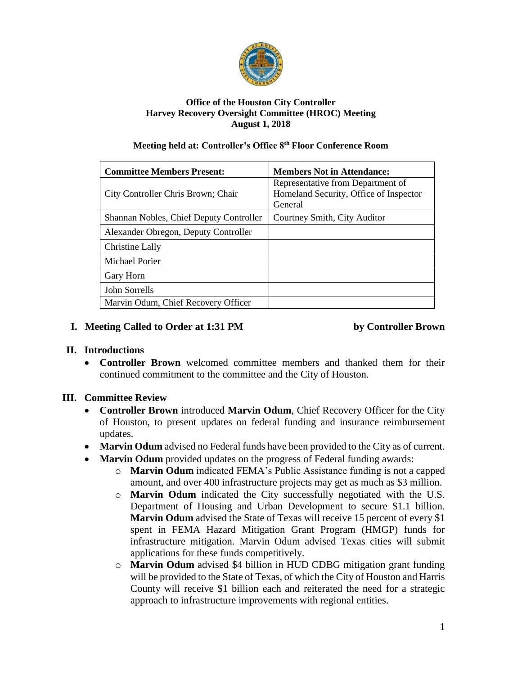

#### **Office of the Houston City Controller Harvey Recovery Oversight Committee (HROC) Meeting August 1, 2018**

#### **Meeting held at: Controller's Office 8th Floor Conference Room**

| <b>Committee Members Present:</b>       | <b>Members Not in Attendance:</b>                                                      |
|-----------------------------------------|----------------------------------------------------------------------------------------|
| City Controller Chris Brown; Chair      | Representative from Department of<br>Homeland Security, Office of Inspector<br>General |
| Shannan Nobles, Chief Deputy Controller | Courtney Smith, City Auditor                                                           |
| Alexander Obregon, Deputy Controller    |                                                                                        |
| Christine Lally                         |                                                                                        |
| Michael Porier                          |                                                                                        |
| Gary Horn                               |                                                                                        |
| John Sorrells                           |                                                                                        |
| Marvin Odum, Chief Recovery Officer     |                                                                                        |

#### **I. Meeting Called to Order at 1:31 PM by Controller Brown**

## **II. Introductions**

• **Controller Brown** welcomed committee members and thanked them for their continued commitment to the committee and the City of Houston.

## **III. Committee Review**

- **Controller Brown** introduced **Marvin Odum**, Chief Recovery Officer for the City of Houston, to present updates on federal funding and insurance reimbursement updates.
- **Marvin Odum** advised no Federal funds have been provided to the City as of current.
- **Marvin Odum** provided updates on the progress of Federal funding awards:
	- o **Marvin Odum** indicated FEMA's Public Assistance funding is not a capped amount, and over 400 infrastructure projects may get as much as \$3 million.
	- o **Marvin Odum** indicated the City successfully negotiated with the U.S. Department of Housing and Urban Development to secure \$1.1 billion. **Marvin Odum** advised the State of Texas will receive 15 percent of every \$1 spent in FEMA Hazard Mitigation Grant Program (HMGP) funds for infrastructure mitigation. Marvin Odum advised Texas cities will submit applications for these funds competitively.
	- o **Marvin Odum** advised \$4 billion in HUD CDBG mitigation grant funding will be provided to the State of Texas, of which the City of Houston and Harris County will receive \$1 billion each and reiterated the need for a strategic approach to infrastructure improvements with regional entities.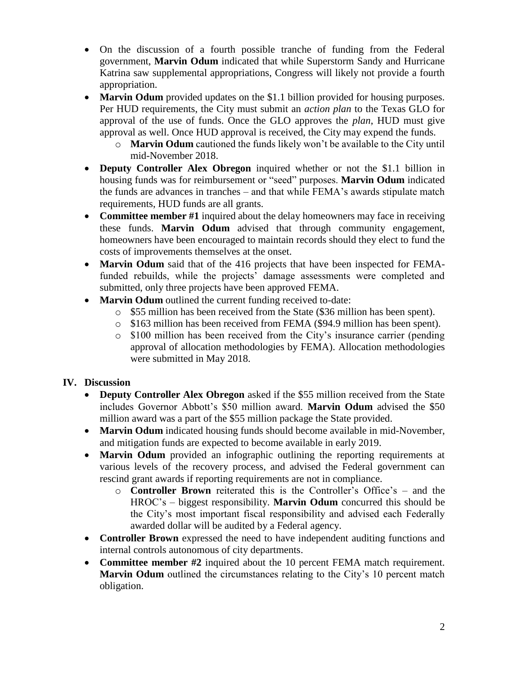- On the discussion of a fourth possible tranche of funding from the Federal government, **Marvin Odum** indicated that while Superstorm Sandy and Hurricane Katrina saw supplemental appropriations, Congress will likely not provide a fourth appropriation.
- **Marvin Odum** provided updates on the \$1.1 billion provided for housing purposes. Per HUD requirements, the City must submit an *action plan* to the Texas GLO for approval of the use of funds. Once the GLO approves the *plan*, HUD must give approval as well. Once HUD approval is received, the City may expend the funds.
	- o **Marvin Odum** cautioned the funds likely won't be available to the City until mid-November 2018.
- **Deputy Controller Alex Obregon** inquired whether or not the \$1.1 billion in housing funds was for reimbursement or "seed" purposes. **Marvin Odum** indicated the funds are advances in tranches – and that while FEMA's awards stipulate match requirements, HUD funds are all grants.
- **Committee member #1** inquired about the delay homeowners may face in receiving these funds. **Marvin Odum** advised that through community engagement, homeowners have been encouraged to maintain records should they elect to fund the costs of improvements themselves at the onset.
- **Marvin Odum** said that of the 416 projects that have been inspected for FEMAfunded rebuilds, while the projects' damage assessments were completed and submitted, only three projects have been approved FEMA.
- **Marvin Odum** outlined the current funding received to-date:
	- o \$55 million has been received from the State (\$36 million has been spent).
	- o \$163 million has been received from FEMA (\$94.9 million has been spent).
	- o \$100 million has been received from the City's insurance carrier (pending approval of allocation methodologies by FEMA). Allocation methodologies were submitted in May 2018.

## **IV. Discussion**

- **Deputy Controller Alex Obregon** asked if the \$55 million received from the State includes Governor Abbott's \$50 million award. **Marvin Odum** advised the \$50 million award was a part of the \$55 million package the State provided.
- **Marvin Odum** indicated housing funds should become available in mid-November, and mitigation funds are expected to become available in early 2019.
- **Marvin Odum** provided an infographic outlining the reporting requirements at various levels of the recovery process, and advised the Federal government can rescind grant awards if reporting requirements are not in compliance.
	- o **Controller Brown** reiterated this is the Controller's Office's and the HROC's – biggest responsibility. **Marvin Odum** concurred this should be the City's most important fiscal responsibility and advised each Federally awarded dollar will be audited by a Federal agency.
- **Controller Brown** expressed the need to have independent auditing functions and internal controls autonomous of city departments.
- **Committee member #2** inquired about the 10 percent FEMA match requirement. **Marvin Odum** outlined the circumstances relating to the City's 10 percent match obligation.